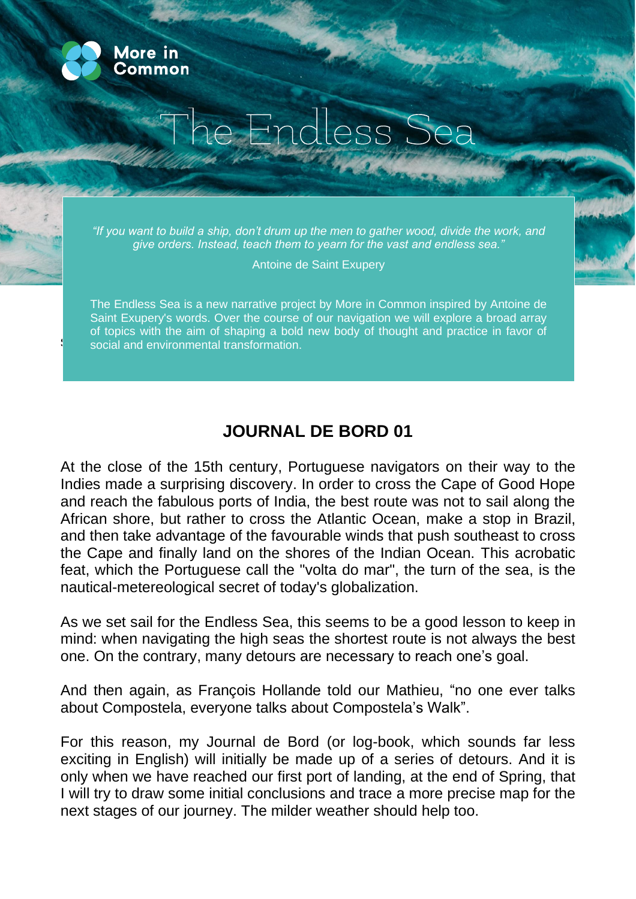

s

## e Endless Sea

*"If you want to build a ship, don't drum up the men to gather wood, divide the work, and give orders. Instead, teach them to yearn for the vast and endless sea."*

Antoine de Saint Exupery

The Endless Sea is a new narrative project by More in Common inspired by Antoine de Saint Exupery's words. Over the course of our navigation we will explore a broad array of topics with the aim of shaping a bold new body of thought and practice in favor of social and environmental transformation.

## **JOURNAL DE BORD 01**

At the close of the 15th century, Portuguese navigators on their way to the Indies made a surprising discovery. In order to cross the Cape of Good Hope and reach the fabulous ports of India, the best route was not to sail along the African shore, but rather to cross the Atlantic Ocean, make a stop in Brazil, and then take advantage of the favourable winds that push southeast to cross the Cape and finally land on the shores of the Indian Ocean. This acrobatic feat, which the Portuguese call the "volta do mar", the turn of the sea, is the nautical-metereological secret of today's globalization.

As we set sail for the Endless Sea, this seems to be a good lesson to keep in mind: when navigating the high seas the shortest route is not always the best one. On the contrary, many detours are necessary to reach one's goal.

And then again, as François Hollande told our Mathieu, "no one ever talks about Compostela, everyone talks about Compostela's Walk".

For this reason, my Journal de Bord (or log-book, which sounds far less exciting in English) will initially be made up of a series of detours. And it is only when we have reached our first port of landing, at the end of Spring, that I will try to draw some initial conclusions and trace a more precise map for the next stages of our journey. The milder weather should help too.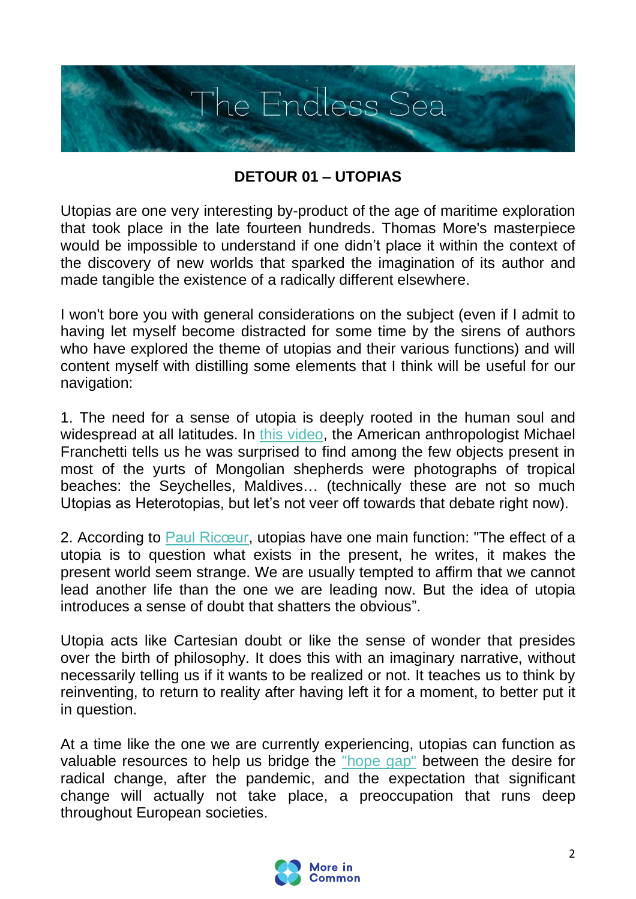

## **DETOUR 01 – UTOPIAS**

Utopias are one very interesting by-product of the age of maritime exploration that took place in the late fourteen hundreds. Thomas More's masterpiece would be impossible to understand if one didn't place it within the context of the discovery of new worlds that sparked the imagination of its author and made tangible the existence of a radically different elsewhere.

I won't bore you with general considerations on the subject (even if I admit to having let myself become distracted for some time by the sirens of authors who have explored the theme of utopias and their various functions) and will content myself with distilling some elements that I think will be useful for our navigation:

1. The need for a sense of utopia is deeply rooted in the human soul and widespread at all latitudes. In [this video,](https://www.youtube.com/watch?v=Hn-KYxj4DP4) the American anthropologist Michael Franchetti tells us he was surprised to find among the few objects present in most of the yurts of Mongolian shepherds were photographs of tropical beaches: the Seychelles, Maldives… (technically these are not so much Utopias as Heterotopias, but let's not veer off towards that debate right now).

2. According to [Paul Ricœur,](https://www.persee.fr/doc/chris_0753-2776_1984_num_2_1_940) utopias have one main function: "The effect of a utopia is to question what exists in the present, he writes, it makes the present world seem strange. We are usually tempted to affirm that we cannot lead another life than the one we are leading now. But the idea of utopia introduces a sense of doubt that shatters the obvious".

Utopia acts like Cartesian doubt or like the sense of wonder that presides over the birth of philosophy. It does this with an imaginary narrative, without necessarily telling us if it wants to be realized or not. It teaches us to think by reinventing, to return to reality after having left it for a moment, to better put it in question.

At a time like the one we are currently experiencing, utopias can function as valuable resources to help us bridge the ["hope gap"](https://www.moreincommon.com/newnormal/) between the desire for radical change, after the pandemic, and the expectation that significant change will actually not take place, a preoccupation that runs deep throughout European societies.

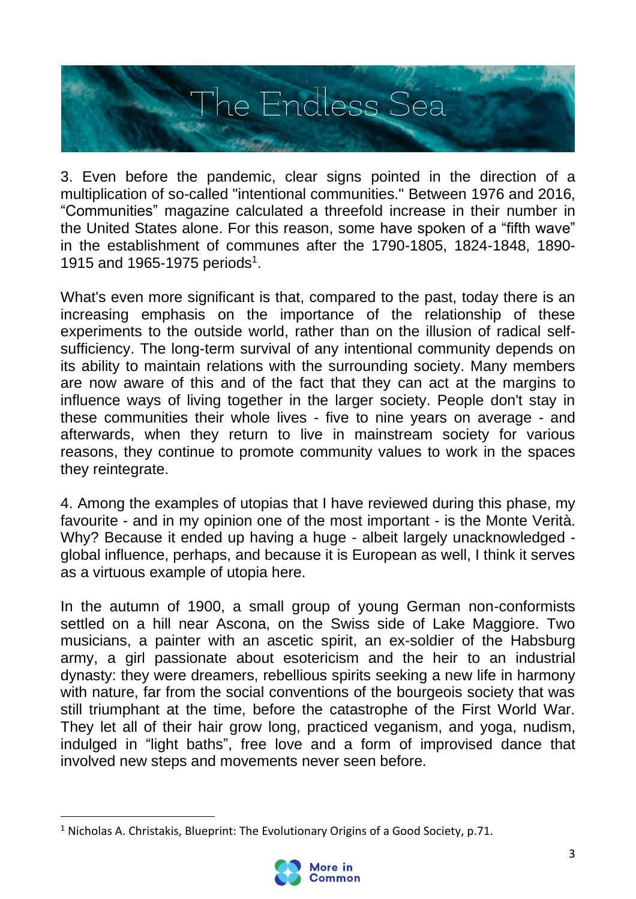

3. Even before the pandemic, clear signs pointed in the direction of a multiplication of so-called "intentional communities." Between 1976 and 2016, "Communities" magazine calculated a threefold increase in their number in the United States alone. For this reason, some have spoken of a "fifth wave" in the establishment of communes after the 1790-1805, 1824-1848, 1890- 1915 and 1965-1975 periods<sup>1</sup>.

What's even more significant is that, compared to the past, today there is an increasing emphasis on the importance of the relationship of these experiments to the outside world, rather than on the illusion of radical selfsufficiency. The long-term survival of any intentional community depends on its ability to maintain relations with the surrounding society. Many members are now aware of this and of the fact that they can act at the margins to influence ways of living together in the larger society. People don't stay in these communities their whole lives - five to nine years on average - and afterwards, when they return to live in mainstream society for various reasons, they continue to promote community values to work in the spaces they reintegrate.

4. Among the examples of utopias that I have reviewed during this phase, my favourite - and in my opinion one of the most important - is the Monte Verità. Why? Because it ended up having a huge - albeit largely unacknowledged global influence, perhaps, and because it is European as well, I think it serves as a virtuous example of utopia here.

In the autumn of 1900, a small group of young German non-conformists settled on a hill near Ascona, on the Swiss side of Lake Maggiore. Two musicians, a painter with an ascetic spirit, an ex-soldier of the Habsburg army, a girl passionate about esotericism and the heir to an industrial dynasty: they were dreamers, rebellious spirits seeking a new life in harmony with nature, far from the social conventions of the bourgeois society that was still triumphant at the time, before the catastrophe of the First World War. They let all of their hair grow long, practiced veganism, and yoga, nudism, indulged in "light baths", free love and a form of improvised dance that involved new steps and movements never seen before.

<sup>&</sup>lt;sup>1</sup> Nicholas A. Christakis, Blueprint: The Evolutionary Origins of a Good Society, p.71.

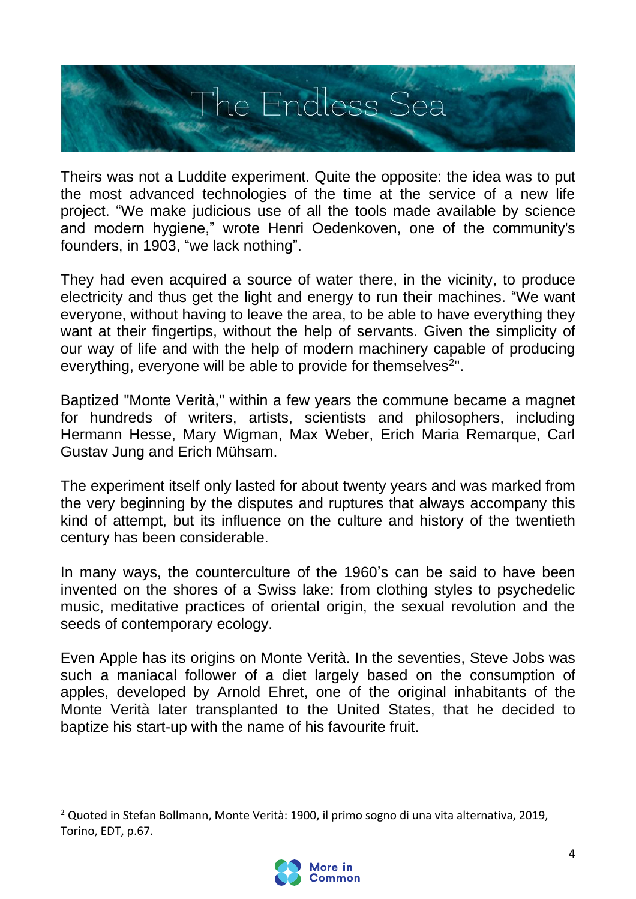

Theirs was not a Luddite experiment. Quite the opposite: the idea was to put the most advanced technologies of the time at the service of a new life project. "We make judicious use of all the tools made available by science and modern hygiene," wrote Henri Oedenkoven, one of the community's founders, in 1903, "we lack nothing".

They had even acquired a source of water there, in the vicinity, to produce electricity and thus get the light and energy to run their machines. "We want everyone, without having to leave the area, to be able to have everything they want at their fingertips, without the help of servants. Given the simplicity of our way of life and with the help of modern machinery capable of producing everything, everyone will be able to provide for themselves<sup>2</sup>".

Baptized "Monte Verità," within a few years the commune became a magnet for hundreds of writers, artists, scientists and philosophers, including Hermann Hesse, Mary Wigman, Max Weber, Erich Maria Remarque, Carl Gustav Jung and Erich Mühsam.

The experiment itself only lasted for about twenty years and was marked from the very beginning by the disputes and ruptures that always accompany this kind of attempt, but its influence on the culture and history of the twentieth century has been considerable.

In many ways, the counterculture of the 1960's can be said to have been invented on the shores of a Swiss lake: from clothing styles to psychedelic music, meditative practices of oriental origin, the sexual revolution and the seeds of contemporary ecology.

Even Apple has its origins on Monte Verità. In the seventies, Steve Jobs was such a maniacal follower of a diet largely based on the consumption of apples, developed by Arnold Ehret, one of the original inhabitants of the Monte Verità later transplanted to the United States, that he decided to baptize his start-up with the name of his favourite fruit.

<sup>2</sup> Quoted in Stefan Bollmann, Monte Verità: 1900, il primo sogno di una vita alternativa, 2019, Torino, EDT, p.67.

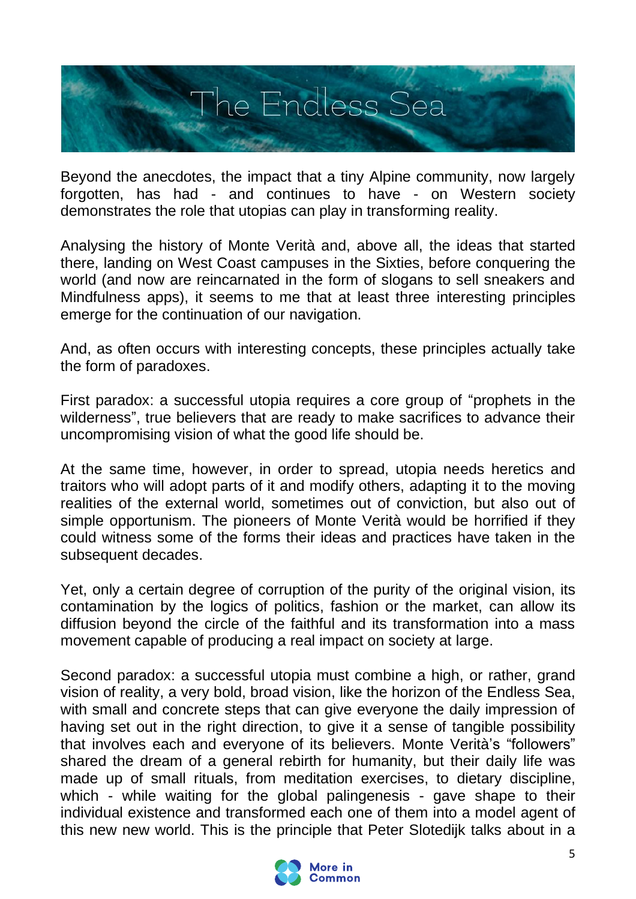

Beyond the anecdotes, the impact that a tiny Alpine community, now largely forgotten, has had - and continues to have - on Western society demonstrates the role that utopias can play in transforming reality.

Analysing the history of Monte Verità and, above all, the ideas that started there, landing on West Coast campuses in the Sixties, before conquering the world (and now are reincarnated in the form of slogans to sell sneakers and Mindfulness apps), it seems to me that at least three interesting principles emerge for the continuation of our navigation.

And, as often occurs with interesting concepts, these principles actually take the form of paradoxes.

First paradox: a successful utopia requires a core group of "prophets in the wilderness", true believers that are ready to make sacrifices to advance their uncompromising vision of what the good life should be.

At the same time, however, in order to spread, utopia needs heretics and traitors who will adopt parts of it and modify others, adapting it to the moving realities of the external world, sometimes out of conviction, but also out of simple opportunism. The pioneers of Monte Verità would be horrified if they could witness some of the forms their ideas and practices have taken in the subsequent decades.

Yet, only a certain degree of corruption of the purity of the original vision, its contamination by the logics of politics, fashion or the market, can allow its diffusion beyond the circle of the faithful and its transformation into a mass movement capable of producing a real impact on society at large.

Second paradox: a successful utopia must combine a high, or rather, grand vision of reality, a very bold, broad vision, like the horizon of the Endless Sea, with small and concrete steps that can give everyone the daily impression of having set out in the right direction, to give it a sense of tangible possibility that involves each and everyone of its believers. Monte Verità's "followers" shared the dream of a general rebirth for humanity, but their daily life was made up of small rituals, from meditation exercises, to dietary discipline, which - while waiting for the global palingenesis - gave shape to their individual existence and transformed each one of them into a model agent of this new new world. This is the principle that Peter Slotedijk talks about in a

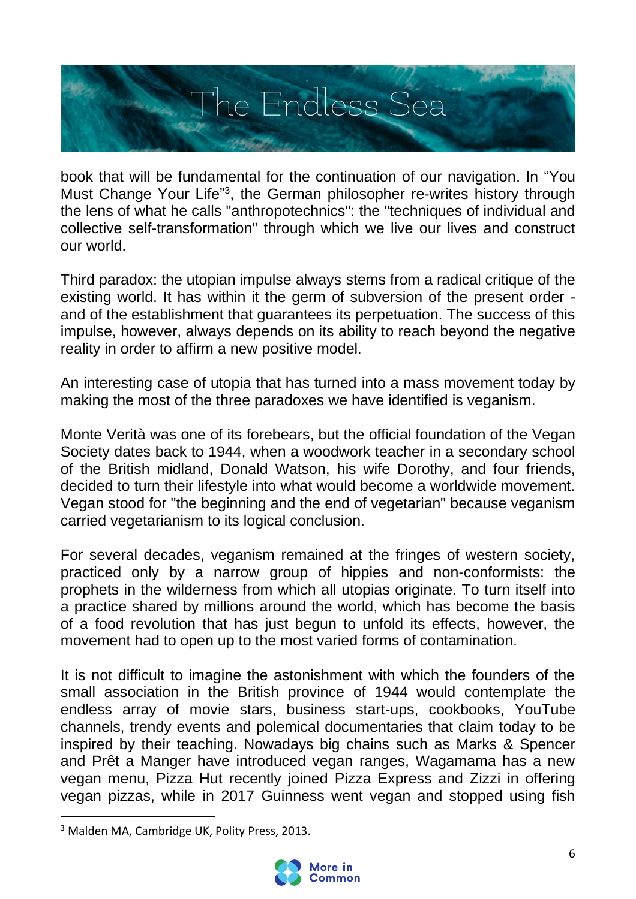

book that will be fundamental for the continuation of our navigation. In "You Must Change Your Life"<sup>3</sup>, the German philosopher re-writes history through the lens of what he calls "anthropotechnics": the "techniques of individual and collective self-transformation" through which we live our lives and construct our world.

Third paradox: the utopian impulse always stems from a radical critique of the existing world. It has within it the germ of subversion of the present order and of the establishment that guarantees its perpetuation. The success of this impulse, however, always depends on its ability to reach beyond the negative reality in order to affirm a new positive model.

An interesting case of utopia that has turned into a mass movement today by making the most of the three paradoxes we have identified is veganism.

Monte Verità was one of its forebears, but the official foundation of the Vegan Society dates back to 1944, when a woodwork teacher in a secondary school of the British midland, Donald Watson, his wife Dorothy, and four friends, decided to turn their lifestyle into what would become a worldwide movement. Vegan stood for "the beginning and the end of vegetarian" because veganism carried vegetarianism to its logical conclusion.

For several decades, veganism remained at the fringes of western society, practiced only by a narrow group of hippies and non-conformists: the prophets in the wilderness from which all utopias originate. To turn itself into a practice shared by millions around the world, which has become the basis of a food revolution that has just begun to unfold its effects, however, the movement had to open up to the most varied forms of contamination.

It is not difficult to imagine the astonishment with which the founders of the small association in the British province of 1944 would contemplate the endless array of movie stars, business start-ups, cookbooks, YouTube channels, trendy events and polemical documentaries that claim today to be inspired by their teaching. Nowadays big chains such as Marks & Spencer and Prêt a Manger have introduced vegan ranges, Wagamama has a new vegan menu, Pizza Hut recently joined Pizza Express and Zizzi in offering vegan pizzas, while in 2017 Guinness went vegan and stopped using fish

<sup>3</sup> Malden MA, Cambridge UK, Polity Press, 2013.

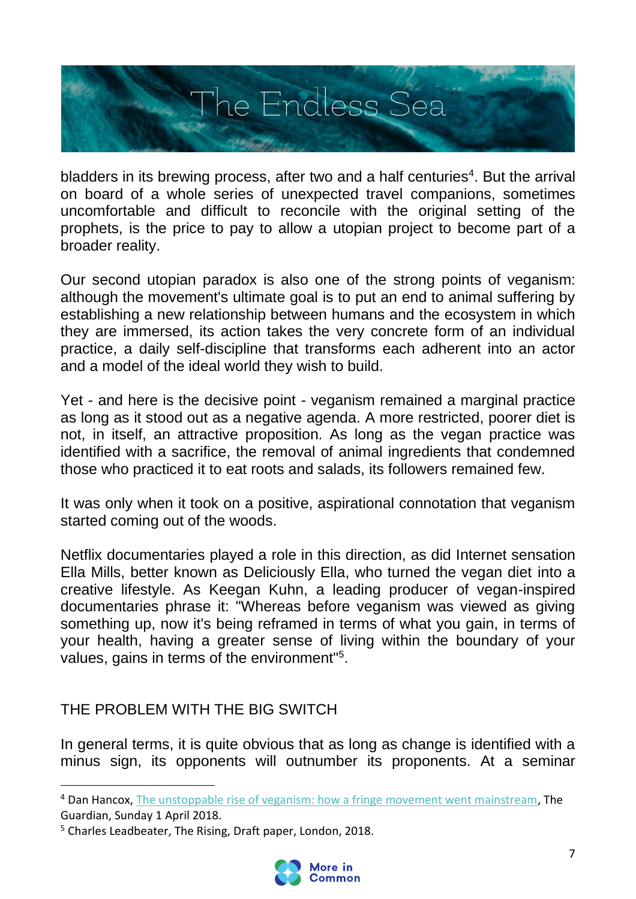

bladders in its brewing process, after two and a half centuries<sup>4</sup>. But the arrival on board of a whole series of unexpected travel companions, sometimes uncomfortable and difficult to reconcile with the original setting of the prophets, is the price to pay to allow a utopian project to become part of a broader reality.

Our second utopian paradox is also one of the strong points of veganism: although the movement's ultimate goal is to put an end to animal suffering by establishing a new relationship between humans and the ecosystem in which they are immersed, its action takes the very concrete form of an individual practice, a daily self-discipline that transforms each adherent into an actor and a model of the ideal world they wish to build.

Yet - and here is the decisive point - veganism remained a marginal practice as long as it stood out as a negative agenda. A more restricted, poorer diet is not, in itself, an attractive proposition. As long as the vegan practice was identified with a sacrifice, the removal of animal ingredients that condemned those who practiced it to eat roots and salads, its followers remained few.

It was only when it took on a positive, aspirational connotation that veganism started coming out of the woods.

Netflix documentaries played a role in this direction, as did Internet sensation Ella Mills, better known as Deliciously Ella, who turned the vegan diet into a creative lifestyle. As Keegan Kuhn, a leading producer of vegan-inspired documentaries phrase it: "Whereas before veganism was viewed as giving something up, now it's being reframed in terms of what you gain, in terms of your health, having a greater sense of living within the boundary of your values, gains in terms of the environment"<sup>5</sup>.

THE PROBLEM WITH THE BIG SWITCH

In general terms, it is quite obvious that as long as change is identified with a minus sign, its opponents will outnumber its proponents. At a seminar

<sup>5</sup> Charles Leadbeater, The Rising, Draft paper, London, 2018.



<sup>&</sup>lt;sup>4</sup> Dan Hancox, [The unstoppable rise of veganism: how a fringe movement went mainstream,](https://www.theguardian.com/lifeandstyle/2018/apr/01/vegans-are-coming-millennials-health-climate-change-animal-welfare) The Guardian, Sunday 1 April 2018.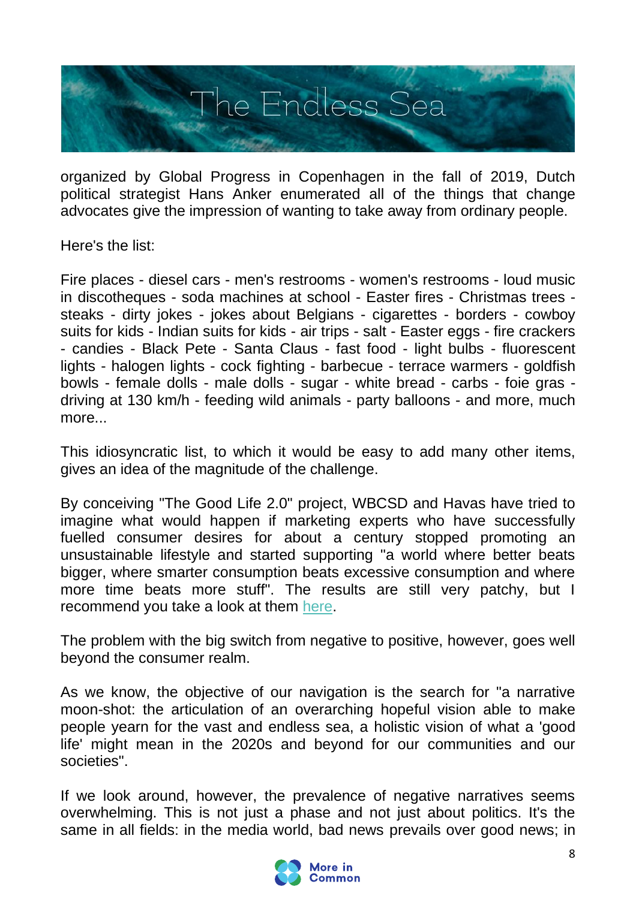

organized by Global Progress in Copenhagen in the fall of 2019, Dutch political strategist Hans Anker enumerated all of the things that change advocates give the impression of wanting to take away from ordinary people.

Here's the list:

Fire places - diesel cars - men's restrooms - women's restrooms - loud music in discotheques - soda machines at school - Easter fires - Christmas trees steaks - dirty jokes - jokes about Belgians - cigarettes - borders - cowboy suits for kids - Indian suits for kids - air trips - salt - Easter eggs - fire crackers - candies - Black Pete - Santa Claus - fast food - light bulbs - fluorescent lights - halogen lights - cock fighting - barbecue - terrace warmers - goldfish bowls - female dolls - male dolls - sugar - white bread - carbs - foie gras driving at 130 km/h - feeding wild animals - party balloons - and more, much more...

This idiosyncratic list, to which it would be easy to add many other items, gives an idea of the magnitude of the challenge.

By conceiving "The Good Life 2.0" project, WBCSD and Havas have tried to imagine what would happen if marketing experts who have successfully fuelled consumer desires for about a century stopped promoting an unsustainable lifestyle and started supporting "a world where better beats bigger, where smarter consumption beats excessive consumption and where more time beats more stuff". The results are still very patchy, but I recommend you take a look at them [here.](https://www.wbcsd.org/Programs/People/Sustainable-Lifestyles/Resources/The-Good-Life-2.0-Playbook-US-Edition)

The problem with the big switch from negative to positive, however, goes well beyond the consumer realm.

As we know, the objective of our navigation is the search for "a narrative moon-shot: the articulation of an overarching hopeful vision able to make people yearn for the vast and endless sea, a holistic vision of what a 'good life' might mean in the 2020s and beyond for our communities and our societies".

If we look around, however, the prevalence of negative narratives seems overwhelming. This is not just a phase and not just about politics. It's the same in all fields: in the media world, bad news prevails over good news; in

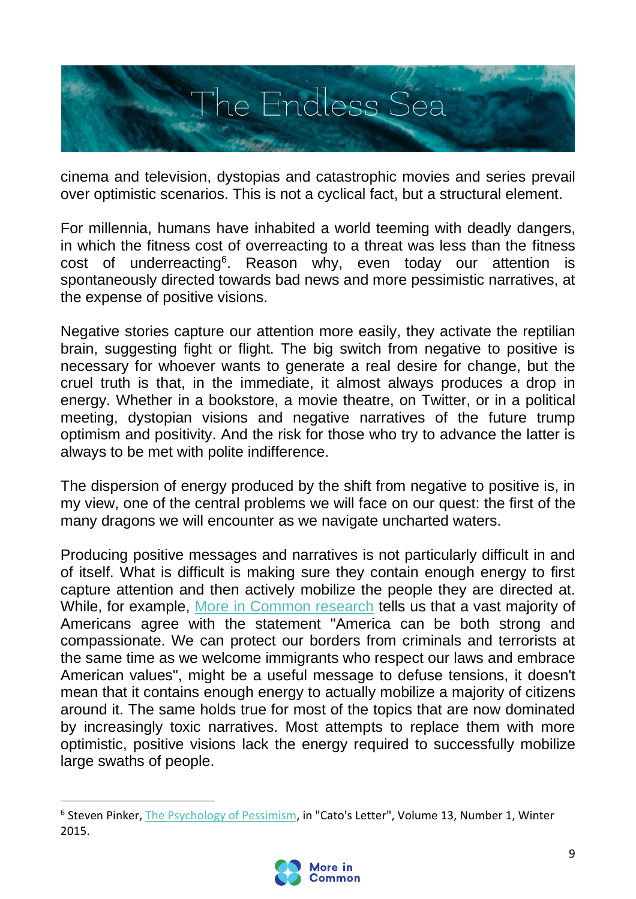

cinema and television, dystopias and catastrophic movies and series prevail over optimistic scenarios. This is not a cyclical fact, but a structural element.

For millennia, humans have inhabited a world teeming with deadly dangers, in which the fitness cost of overreacting to a threat was less than the fitness cost of underreacting<sup>6</sup>. Reason why, even today our attention is spontaneously directed towards bad news and more pessimistic narratives, at the expense of positive visions.

Negative stories capture our attention more easily, they activate the reptilian brain, suggesting fight or flight. The big switch from negative to positive is necessary for whoever wants to generate a real desire for change, but the cruel truth is that, in the immediate, it almost always produces a drop in energy. Whether in a bookstore, a movie theatre, on Twitter, or in a political meeting, dystopian visions and negative narratives of the future trump optimism and positivity. And the risk for those who try to advance the latter is always to be met with polite indifference.

The dispersion of energy produced by the shift from negative to positive is, in my view, one of the central problems we will face on our quest: the first of the many dragons we will encounter as we navigate uncharted waters.

Producing positive messages and narratives is not particularly difficult in and of itself. What is difficult is making sure they contain enough energy to first capture attention and then actively mobilize the people they are directed at. While, for example, [More in Common research](file:///C:/Users/giulianodaempoli/Downloads/pdf-1.pdf) tells us that a vast majority of Americans agree with the statement "America can be both strong and compassionate. We can protect our borders from criminals and terrorists at the same time as we welcome immigrants who respect our laws and embrace American values", might be a useful message to defuse tensions, it doesn't mean that it contains enough energy to actually mobilize a majority of citizens around it. The same holds true for most of the topics that are now dominated by increasingly toxic narratives. Most attempts to replace them with more optimistic, positive visions lack the energy required to successfully mobilize large swaths of people.

<sup>&</sup>lt;sup>6</sup> Steven Pinker, [The Psychology of Pessimism,](https://www.cato.org/sites/cato.org/files/pubs/pdf/catosletterv13n1.pdf) in "Cato's Letter", Volume 13, Number 1, Winter 2015.